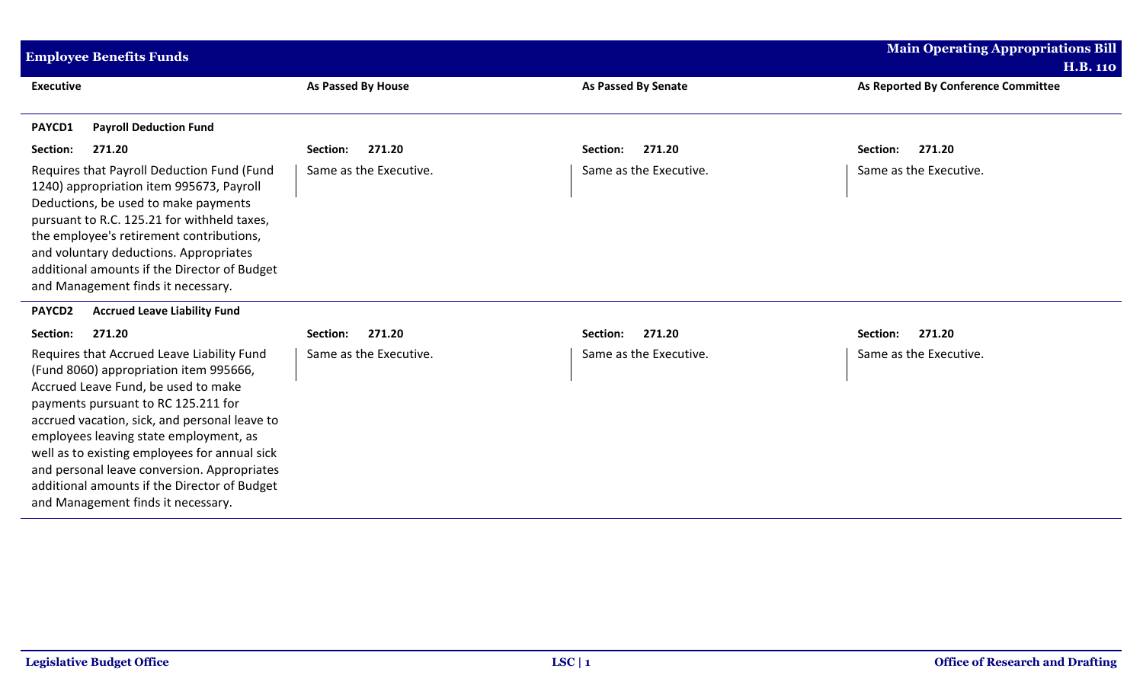| <b>Employee Benefits Funds</b>                                                                                                                                                                                                                                                                                                                                                                                                                      |                           |                            | <b>Main Operating Appropriations Bill</b> |
|-----------------------------------------------------------------------------------------------------------------------------------------------------------------------------------------------------------------------------------------------------------------------------------------------------------------------------------------------------------------------------------------------------------------------------------------------------|---------------------------|----------------------------|-------------------------------------------|
|                                                                                                                                                                                                                                                                                                                                                                                                                                                     |                           |                            | <b>H.B. 110</b>                           |
| <b>Executive</b>                                                                                                                                                                                                                                                                                                                                                                                                                                    | <b>As Passed By House</b> | <b>As Passed By Senate</b> | As Reported By Conference Committee       |
| <b>Payroll Deduction Fund</b><br>PAYCD1                                                                                                                                                                                                                                                                                                                                                                                                             |                           |                            |                                           |
| 271.20<br>Section:                                                                                                                                                                                                                                                                                                                                                                                                                                  | 271.20<br>Section:        | 271.20<br>Section:         | 271.20<br>Section:                        |
| Requires that Payroll Deduction Fund (Fund<br>1240) appropriation item 995673, Payroll<br>Deductions, be used to make payments<br>pursuant to R.C. 125.21 for withheld taxes,<br>the employee's retirement contributions,<br>and voluntary deductions. Appropriates<br>additional amounts if the Director of Budget<br>and Management finds it necessary.                                                                                           | Same as the Executive.    | Same as the Executive.     | Same as the Executive.                    |
| PAYCD2<br><b>Accrued Leave Liability Fund</b>                                                                                                                                                                                                                                                                                                                                                                                                       |                           |                            |                                           |
| Section:<br>271.20                                                                                                                                                                                                                                                                                                                                                                                                                                  | 271.20<br>Section:        | 271.20<br>Section:         | 271.20<br>Section:                        |
| Requires that Accrued Leave Liability Fund<br>(Fund 8060) appropriation item 995666,<br>Accrued Leave Fund, be used to make<br>payments pursuant to RC 125.211 for<br>accrued vacation, sick, and personal leave to<br>employees leaving state employment, as<br>well as to existing employees for annual sick<br>and personal leave conversion. Appropriates<br>additional amounts if the Director of Budget<br>and Management finds it necessary. | Same as the Executive.    | Same as the Executive.     | Same as the Executive.                    |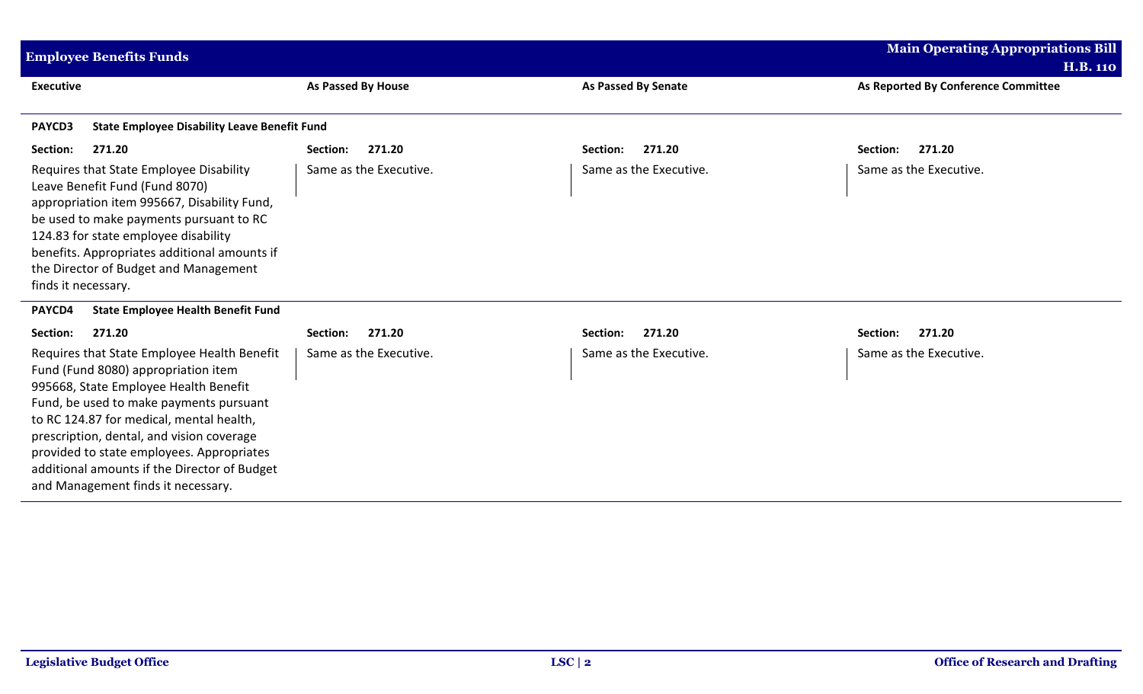| <b>Employee Benefits Funds</b>                                                                                                                                                                                                                                                                                                                                                                     |                        |                            | <b>Main Operating Appropriations Bill</b>              |  |  |
|----------------------------------------------------------------------------------------------------------------------------------------------------------------------------------------------------------------------------------------------------------------------------------------------------------------------------------------------------------------------------------------------------|------------------------|----------------------------|--------------------------------------------------------|--|--|
| <b>Executive</b>                                                                                                                                                                                                                                                                                                                                                                                   | As Passed By House     | <b>As Passed By Senate</b> | <b>H.B. 110</b><br>As Reported By Conference Committee |  |  |
| <b>State Employee Disability Leave Benefit Fund</b><br>PAYCD3                                                                                                                                                                                                                                                                                                                                      |                        |                            |                                                        |  |  |
| 271.20<br>Section:                                                                                                                                                                                                                                                                                                                                                                                 | 271.20<br>Section:     | 271.20<br>Section:         | 271.20<br>Section:                                     |  |  |
| Requires that State Employee Disability<br>Leave Benefit Fund (Fund 8070)<br>appropriation item 995667, Disability Fund,<br>be used to make payments pursuant to RC<br>124.83 for state employee disability<br>benefits. Appropriates additional amounts if<br>the Director of Budget and Management<br>finds it necessary.                                                                        | Same as the Executive. | Same as the Executive.     | Same as the Executive.                                 |  |  |
| PAYCD4<br><b>State Employee Health Benefit Fund</b>                                                                                                                                                                                                                                                                                                                                                |                        |                            |                                                        |  |  |
| 271.20<br>Section:                                                                                                                                                                                                                                                                                                                                                                                 | 271.20<br>Section:     | 271.20<br>Section:         | Section:<br>271.20                                     |  |  |
| Requires that State Employee Health Benefit<br>Fund (Fund 8080) appropriation item<br>995668, State Employee Health Benefit<br>Fund, be used to make payments pursuant<br>to RC 124.87 for medical, mental health,<br>prescription, dental, and vision coverage<br>provided to state employees. Appropriates<br>additional amounts if the Director of Budget<br>and Management finds it necessary. | Same as the Executive. | Same as the Executive.     | Same as the Executive.                                 |  |  |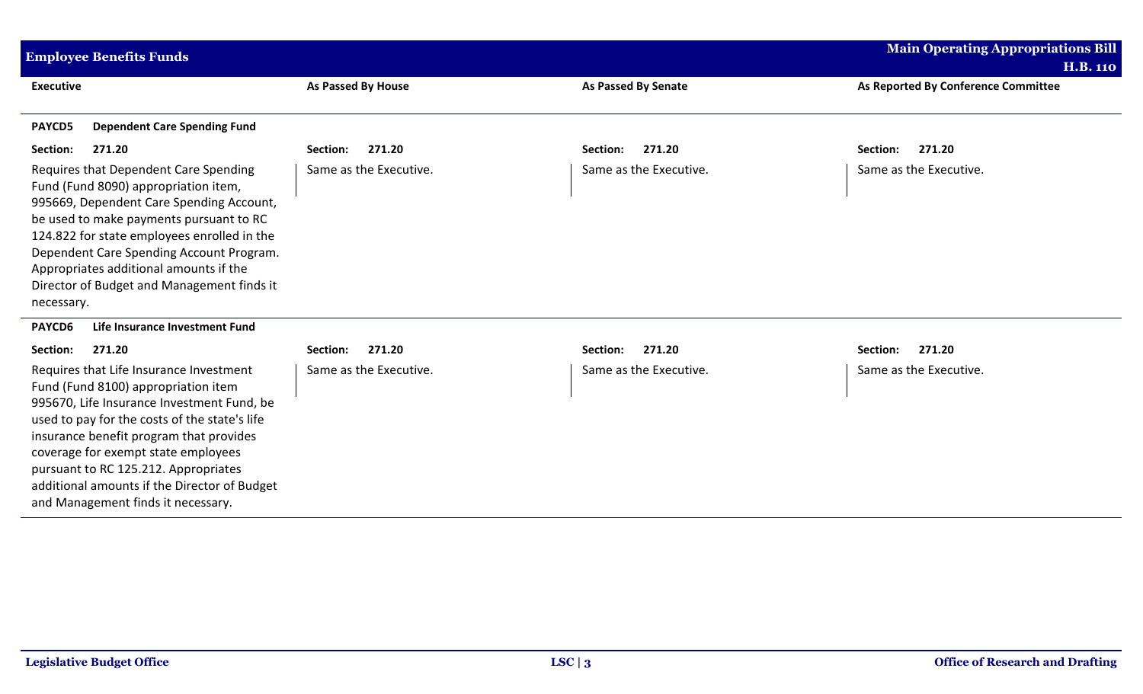| <b>Employee Benefits Funds</b>                                                                                                                                                                                                                                                                                                                                                                |                        |                            | <b>Main Operating Appropriations Bill</b><br><b>H.B. 110</b> |
|-----------------------------------------------------------------------------------------------------------------------------------------------------------------------------------------------------------------------------------------------------------------------------------------------------------------------------------------------------------------------------------------------|------------------------|----------------------------|--------------------------------------------------------------|
| <b>Executive</b>                                                                                                                                                                                                                                                                                                                                                                              | As Passed By House     | <b>As Passed By Senate</b> | As Reported By Conference Committee                          |
| <b>PAYCD5</b><br><b>Dependent Care Spending Fund</b>                                                                                                                                                                                                                                                                                                                                          |                        |                            |                                                              |
| 271.20<br>Section:                                                                                                                                                                                                                                                                                                                                                                            | 271.20<br>Section:     | 271.20<br>Section:         | 271.20<br>Section:                                           |
| Requires that Dependent Care Spending<br>Fund (Fund 8090) appropriation item,<br>995669, Dependent Care Spending Account,<br>be used to make payments pursuant to RC<br>124.822 for state employees enrolled in the<br>Dependent Care Spending Account Program.<br>Appropriates additional amounts if the<br>Director of Budget and Management finds it<br>necessary.                         | Same as the Executive. | Same as the Executive.     | Same as the Executive.                                       |
| PAYCD6<br>Life Insurance Investment Fund                                                                                                                                                                                                                                                                                                                                                      |                        |                            |                                                              |
| 271.20<br>Section:                                                                                                                                                                                                                                                                                                                                                                            | 271.20<br>Section:     | 271.20<br>Section:         | 271.20<br>Section:                                           |
| Requires that Life Insurance Investment<br>Fund (Fund 8100) appropriation item<br>995670, Life Insurance Investment Fund, be<br>used to pay for the costs of the state's life<br>insurance benefit program that provides<br>coverage for exempt state employees<br>pursuant to RC 125.212. Appropriates<br>additional amounts if the Director of Budget<br>and Management finds it necessary. | Same as the Executive. | Same as the Executive.     | Same as the Executive.                                       |